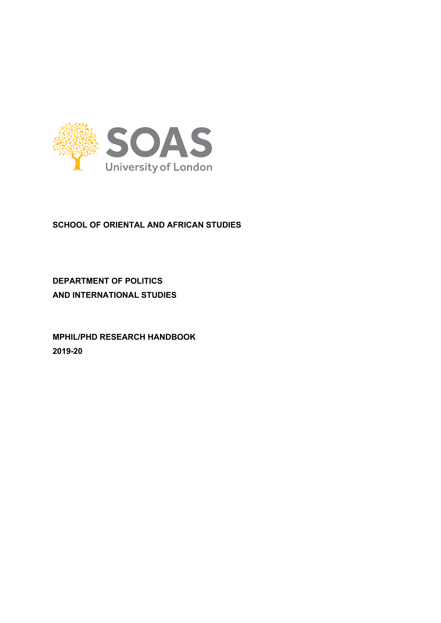

# **SCHOOL OF ORIENTAL AND AFRICAN STUDIES**

**DEPARTMENT OF POLITICS AND INTERNATIONAL STUDIES**

**MPHIL/PHD RESEARCH HANDBOOK 2019-20**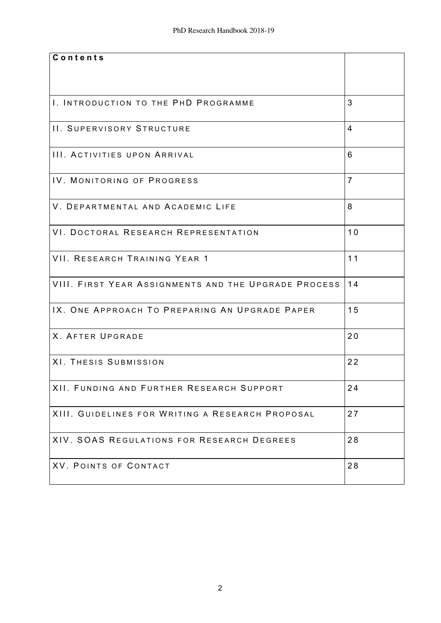| Contents                                                |                |
|---------------------------------------------------------|----------------|
|                                                         |                |
|                                                         |                |
|                                                         |                |
|                                                         |                |
| I. INTRODUCTION TO THE PHD PROGRAMME                    | 3              |
|                                                         |                |
| <b>II. SUPERVISORY STRUCTURE</b>                        | $\overline{4}$ |
|                                                         |                |
|                                                         |                |
| III. ACTIVITIES UPON ARRIVAL                            | 6              |
|                                                         |                |
| IV. MONITORING OF PROGRESS                              | $\overline{7}$ |
|                                                         |                |
|                                                         |                |
| V. DEPARTMENTAL AND ACADEMIC LIFE                       | 8              |
|                                                         |                |
| VI. DOCTORAL RESEARCH REPRESENTATION                    | 10             |
|                                                         |                |
|                                                         |                |
| VII. RESEARCH TRAINING YEAR 1                           | 11             |
|                                                         |                |
|                                                         |                |
| VIII. FIRST YEAR ASSIGNMENTS AND THE UPGRADE PROCESS 14 |                |
|                                                         |                |
| IX. ONE APPROACH TO PREPARING AN UPGRADE PAPER          | 15             |
|                                                         |                |
|                                                         |                |
| <b>X. AFTER UPGRADE</b>                                 | 20             |
|                                                         |                |
| XI. THESIS SUBMISSION                                   | 22             |
|                                                         |                |
|                                                         |                |
| XII. FUNDING AND FURTHER RESEARCH SUPPORT               | 24             |
|                                                         |                |
| XIII. GUIDELINES FOR WRITING A RESEARCH PROPOSAL        | 27             |
|                                                         |                |
|                                                         |                |
| XIV. SOAS REGULATIONS FOR RESEARCH DEGREES              | 28             |
|                                                         |                |
| XV. POINTS OF CONTACT                                   | 28             |
|                                                         |                |
|                                                         |                |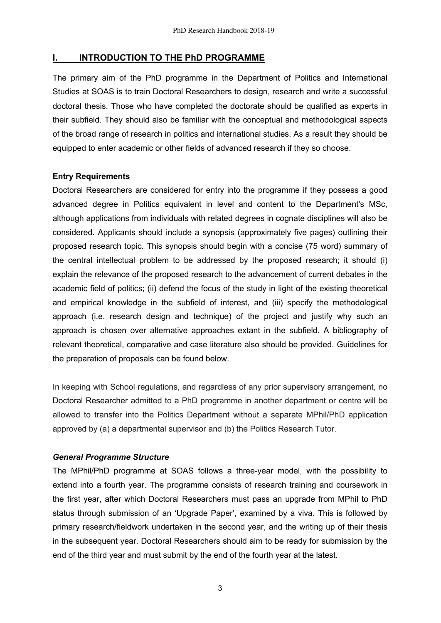### **I. INTRODUCTION TO THE PhD PROGRAMME**

The primary aim of the PhD programme in the Department of Politics and International Studies at SOAS is to train Doctoral Researchers to design, research and write a successful doctoral thesis. Those who have completed the doctorate should be qualified as experts in their subfield. They should also be familiar with the conceptual and methodological aspects of the broad range of research in politics and international studies. As a result they should be equipped to enter academic or other fields of advanced research if they so choose.

## **Entry Requirements**

Doctoral Researchers are considered for entry into the programme if they possess a good advanced degree in Politics equivalent in level and content to the Department's MSc, although applications from individuals with related degrees in cognate disciplines will also be considered. Applicants should include a synopsis (approximately five pages) outlining their proposed research topic. This synopsis should begin with a concise (75 word) summary of the central intellectual problem to be addressed by the proposed research; it should (i) explain the relevance of the proposed research to the advancement of current debates in the academic field of politics; (ii) defend the focus of the study in light of the existing theoretical and empirical knowledge in the subfield of interest, and (iii) specify the methodological approach (i.e. research design and technique) of the project and justify why such an approach is chosen over alternative approaches extant in the subfield. A bibliography of relevant theoretical, comparative and case literature also should be provided. Guidelines for the preparation of proposals can be found below.

In keeping with School regulations, and regardless of any prior supervisory arrangement, no Doctoral Researcher admitted to a PhD programme in another department or centre will be allowed to transfer into the Politics Department without a separate MPhil/PhD application approved by (a) a departmental supervisor and (b) the Politics Research Tutor.

#### *General Programme Structure*

The MPhil/PhD programme at SOAS follows a three-year model, with the possibility to extend into a fourth year. The programme consists of research training and coursework in the first year, after which Doctoral Researchers must pass an upgrade from MPhil to PhD status through submission of an 'Upgrade Paper', examined by a viva. This is followed by primary research/fieldwork undertaken in the second year, and the writing up of their thesis in the subsequent year. Doctoral Researchers should aim to be ready for submission by the end of the third year and must submit by the end of the fourth year at the latest.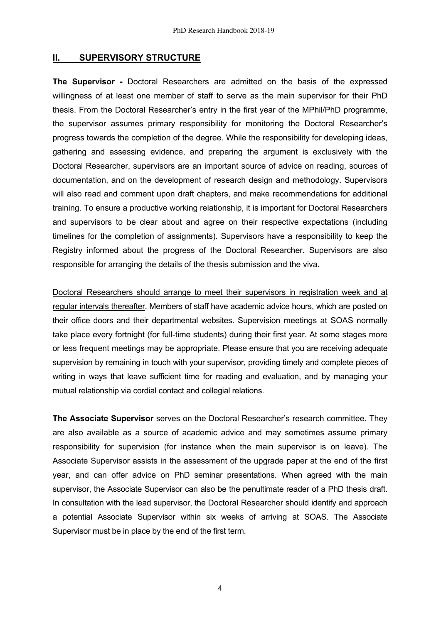### **II. SUPERVISORY STRUCTURE**

**The Supervisor -** Doctoral Researchers are admitted on the basis of the expressed willingness of at least one member of staff to serve as the main supervisor for their PhD thesis. From the Doctoral Researcher's entry in the first year of the MPhil/PhD programme, the supervisor assumes primary responsibility for monitoring the Doctoral Researcher's progress towards the completion of the degree. While the responsibility for developing ideas, gathering and assessing evidence, and preparing the argument is exclusively with the Doctoral Researcher, supervisors are an important source of advice on reading, sources of documentation, and on the development of research design and methodology. Supervisors will also read and comment upon draft chapters, and make recommendations for additional training. To ensure a productive working relationship, it is important for Doctoral Researchers and supervisors to be clear about and agree on their respective expectations (including timelines for the completion of assignments). Supervisors have a responsibility to keep the Registry informed about the progress of the Doctoral Researcher. Supervisors are also responsible for arranging the details of the thesis submission and the viva.

Doctoral Researchers should arrange to meet their supervisors in registration week and at regular intervals thereafter. Members of staff have academic advice hours, which are posted on their office doors and their departmental websites. Supervision meetings at SOAS normally take place every fortnight (for full-time students) during their first year. At some stages more or less frequent meetings may be appropriate. Please ensure that you are receiving adequate supervision by remaining in touch with your supervisor, providing timely and complete pieces of writing in ways that leave sufficient time for reading and evaluation, and by managing your mutual relationship via cordial contact and collegial relations.

**The Associate Supervisor** serves on the Doctoral Researcher's research committee. They are also available as a source of academic advice and may sometimes assume primary responsibility for supervision (for instance when the main supervisor is on leave). The Associate Supervisor assists in the assessment of the upgrade paper at the end of the first year, and can offer advice on PhD seminar presentations. When agreed with the main supervisor, the Associate Supervisor can also be the penultimate reader of a PhD thesis draft. In consultation with the lead supervisor, the Doctoral Researcher should identify and approach a potential Associate Supervisor within six weeks of arriving at SOAS. The Associate Supervisor must be in place by the end of the first term.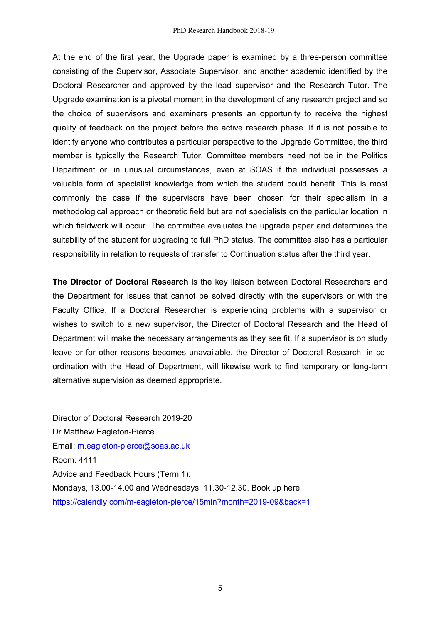At the end of the first year, the Upgrade paper is examined by a three-person committee consisting of the Supervisor, Associate Supervisor, and another academic identified by the Doctoral Researcher and approved by the lead supervisor and the Research Tutor. The Upgrade examination is a pivotal moment in the development of any research project and so the choice of supervisors and examiners presents an opportunity to receive the highest quality of feedback on the project before the active research phase. If it is not possible to identify anyone who contributes a particular perspective to the Upgrade Committee, the third member is typically the Research Tutor. Committee members need not be in the Politics Department or, in unusual circumstances, even at SOAS if the individual possesses a valuable form of specialist knowledge from which the student could benefit. This is most commonly the case if the supervisors have been chosen for their specialism in a methodological approach or theoretic field but are not specialists on the particular location in which fieldwork will occur. The committee evaluates the upgrade paper and determines the suitability of the student for upgrading to full PhD status. The committee also has a particular responsibility in relation to requests of transfer to Continuation status after the third year.

**The Director of Doctoral Research** is the key liaison between Doctoral Researchers and the Department for issues that cannot be solved directly with the supervisors or with the Faculty Office. If a Doctoral Researcher is experiencing problems with a supervisor or wishes to switch to a new supervisor, the Director of Doctoral Research and the Head of Department will make the necessary arrangements as they see fit. If a supervisor is on study leave or for other reasons becomes unavailable, the Director of Doctoral Research, in coordination with the Head of Department, will likewise work to find temporary or long-term alternative supervision as deemed appropriate.

Director of Doctoral Research 2019-20 Dr Matthew Eagleton-Pierce Email: m.eagleton-pierce@soas.ac.uk Room: 4411 Advice and Feedback Hours (Term 1): Mondays, 13.00-14.00 and Wednesdays, 11.30-12.30. Book up here: https://calendly.com/m-eagleton-pierce/15min?month=2019-09&back=1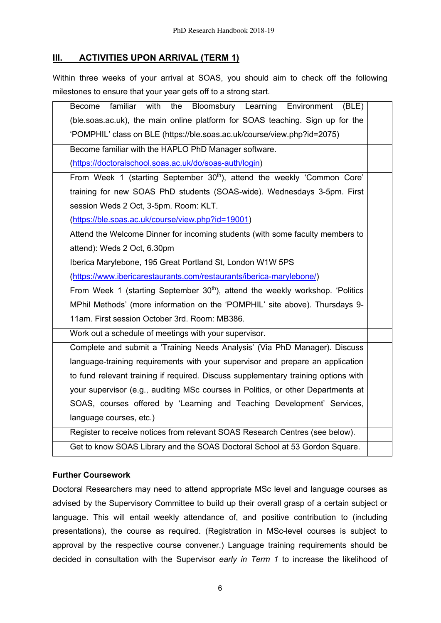# **III. ACTIVITIES UPON ARRIVAL (TERM 1)**

Within three weeks of your arrival at SOAS, you should aim to check off the following milestones to ensure that your year gets off to a strong start.

| familiar<br>the<br>Bloomsbury Learning<br>with<br>Environment<br>Become<br>(BLE)          |  |  |
|-------------------------------------------------------------------------------------------|--|--|
| (ble.soas.ac.uk), the main online platform for SOAS teaching. Sign up for the             |  |  |
| 'POMPHIL' class on BLE (https://ble.soas.ac.uk/course/view.php?id=2075)                   |  |  |
| Become familiar with the HAPLO PhD Manager software.                                      |  |  |
| (https://doctoralschool.soas.ac.uk/do/soas-auth/login)                                    |  |  |
| From Week 1 (starting September 30 <sup>th</sup> ), attend the weekly 'Common Core'       |  |  |
| training for new SOAS PhD students (SOAS-wide). Wednesdays 3-5pm. First                   |  |  |
| session Weds 2 Oct, 3-5pm. Room: KLT.                                                     |  |  |
| (https://ble.soas.ac.uk/course/view.php?id=19001)                                         |  |  |
| Attend the Welcome Dinner for incoming students (with some faculty members to             |  |  |
| attend): Weds 2 Oct, 6.30pm                                                               |  |  |
| Iberica Marylebone, 195 Great Portland St, London W1W 5PS                                 |  |  |
| (https://www.ibericarestaurants.com/restaurants/iberica-marylebone/)                      |  |  |
| From Week 1 (starting September 30 <sup>th</sup> ), attend the weekly workshop. 'Politics |  |  |
| MPhil Methods' (more information on the 'POMPHIL' site above). Thursdays 9-               |  |  |
| 11am. First session October 3rd. Room: MB386.                                             |  |  |
| Work out a schedule of meetings with your supervisor.                                     |  |  |
| Complete and submit a 'Training Needs Analysis' (Via PhD Manager). Discuss                |  |  |
| language-training requirements with your supervisor and prepare an application            |  |  |
| to fund relevant training if required. Discuss supplementary training options with        |  |  |
| your supervisor (e.g., auditing MSc courses in Politics, or other Departments at          |  |  |
| SOAS, courses offered by 'Learning and Teaching Development' Services,                    |  |  |
| language courses, etc.)                                                                   |  |  |
| Register to receive notices from relevant SOAS Research Centres (see below).              |  |  |
| Get to know SOAS Library and the SOAS Doctoral School at 53 Gordon Square.                |  |  |

## **Further Coursework**

Doctoral Researchers may need to attend appropriate MSc level and language courses as advised by the Supervisory Committee to build up their overall grasp of a certain subject or language. This will entail weekly attendance of, and positive contribution to (including presentations), the course as required. (Registration in MSc-level courses is subject to approval by the respective course convener.) Language training requirements should be decided in consultation with the Supervisor *early in Term 1* to increase the likelihood of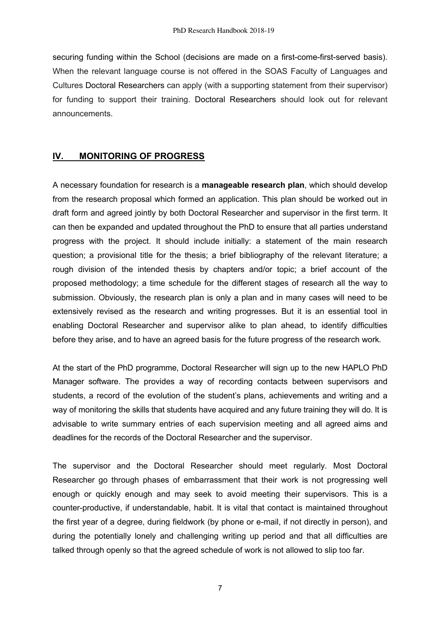securing funding within the School (decisions are made on a first-come-first-served basis). When the relevant language course is not offered in the SOAS Faculty of Languages and Cultures Doctoral Researchers can apply (with a supporting statement from their supervisor) for funding to support their training. Doctoral Researchers should look out for relevant announcements.

## **IV. MONITORING OF PROGRESS**

A necessary foundation for research is a **manageable research plan**, which should develop from the research proposal which formed an application. This plan should be worked out in draft form and agreed jointly by both Doctoral Researcher and supervisor in the first term. It can then be expanded and updated throughout the PhD to ensure that all parties understand progress with the project. It should include initially: a statement of the main research question; a provisional title for the thesis; a brief bibliography of the relevant literature; a rough division of the intended thesis by chapters and/or topic; a brief account of the proposed methodology; a time schedule for the different stages of research all the way to submission. Obviously, the research plan is only a plan and in many cases will need to be extensively revised as the research and writing progresses. But it is an essential tool in enabling Doctoral Researcher and supervisor alike to plan ahead, to identify difficulties before they arise, and to have an agreed basis for the future progress of the research work*.*

At the start of the PhD programme, Doctoral Researcher will sign up to the new HAPLO PhD Manager software. The provides a way of recording contacts between supervisors and students, a record of the evolution of the student's plans, achievements and writing and a way of monitoring the skills that students have acquired and any future training they will do. It is advisable to write summary entries of each supervision meeting and all agreed aims and deadlines for the records of the Doctoral Researcher and the supervisor.

The supervisor and the Doctoral Researcher should meet regularly. Most Doctoral Researcher go through phases of embarrassment that their work is not progressing well enough or quickly enough and may seek to avoid meeting their supervisors. This is a counter-productive, if understandable, habit. It is vital that contact is maintained throughout the first year of a degree, during fieldwork (by phone or e-mail, if not directly in person), and during the potentially lonely and challenging writing up period and that all difficulties are talked through openly so that the agreed schedule of work is not allowed to slip too far.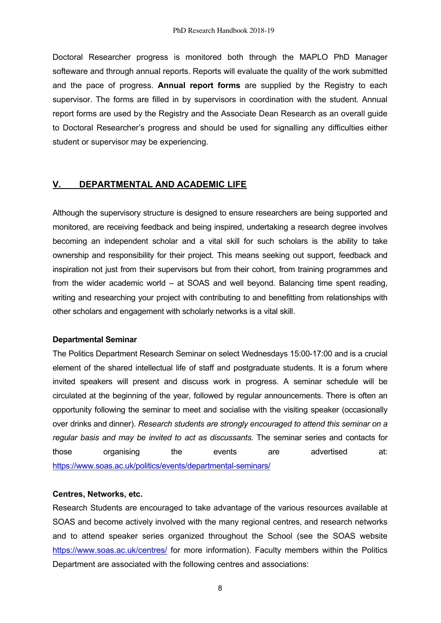Doctoral Researcher progress is monitored both through the MAPLO PhD Manager softeware and through annual reports. Reports will evaluate the quality of the work submitted and the pace of progress. **Annual report forms** are supplied by the Registry to each supervisor. The forms are filled in by supervisors in coordination with the student. Annual report forms are used by the Registry and the Associate Dean Research as an overall guide to Doctoral Researcher's progress and should be used for signalling any difficulties either student or supervisor may be experiencing.

## **V. DEPARTMENTAL AND ACADEMIC LIFE**

Although the supervisory structure is designed to ensure researchers are being supported and monitored, are receiving feedback and being inspired, undertaking a research degree involves becoming an independent scholar and a vital skill for such scholars is the ability to take ownership and responsibility for their project. This means seeking out support, feedback and inspiration not just from their supervisors but from their cohort, from training programmes and from the wider academic world – at SOAS and well beyond. Balancing time spent reading, writing and researching your project with contributing to and benefitting from relationships with other scholars and engagement with scholarly networks is a vital skill.

#### **Departmental Seminar**

The Politics Department Research Seminar on select Wednesdays 15:00-17:00 and is a crucial element of the shared intellectual life of staff and postgraduate students. It is a forum where invited speakers will present and discuss work in progress. A seminar schedule will be circulated at the beginning of the year, followed by regular announcements. There is often an opportunity following the seminar to meet and socialise with the visiting speaker (occasionally over drinks and dinner). *Research students are strongly encouraged to attend this seminar on a regular basis and may be invited to act as discussants.* The seminar series and contacts for those organising the events are advertised at: https://www.soas.ac.uk/politics/events/departmental-seminars/

## **Centres, Networks, etc.**

Research Students are encouraged to take advantage of the various resources available at SOAS and become actively involved with the many regional centres, and research networks and to attend speaker series organized throughout the School (see the SOAS website https://www.soas.ac.uk/centres/ for more information). Faculty members within the Politics Department are associated with the following centres and associations: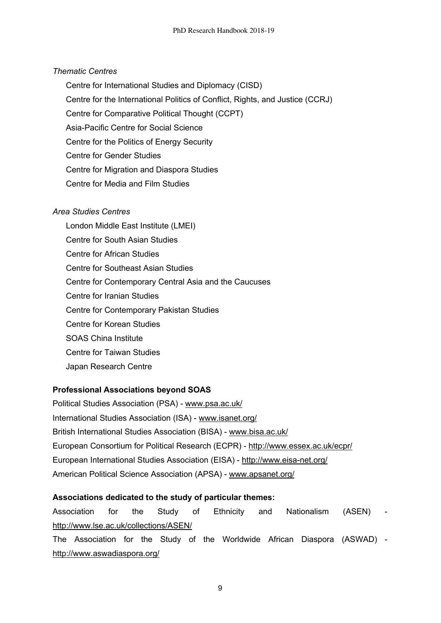#### *Thematic Centres*

- Centre for International Studies and Diplomacy (CISD)
- Centre for the International Politics of Conflict, Rights, and Justice (CCRJ)
- Centre for Comparative Political Thought (CCPT)
- Asia-Pacific Centre for Social Science
- Centre for the Politics of Energy Security
- Centre for Gender Studies
- Centre for Migration and Diaspora Studies
- Centre for Media and Film Studies

#### *Area Studies Centres*

London Middle East Institute (LMEI) Centre for South Asian Studies Centre for African Studies Centre for Southeast Asian Studies Centre for Contemporary Central Asia and the Caucuses Centre for Iranian Studies Centre for Contemporary Pakistan Studies Centre for Korean Studies SOAS China Institute Centre for Taiwan Studies Japan Research Centre

#### **Professional Associations beyond SOAS**

Political Studies Association (PSA) - www.psa.ac.uk/ International Studies Association (ISA) - www.isanet.org/ British International Studies Association (BISA) - www.bisa.ac.uk/ European Consortium for Political Research (ECPR) - http://www.essex.ac.uk/ecpr/ European International Studies Association (EISA) - http://www.eisa-net.org/ American Political Science Association (APSA) - www.apsanet.org/

## **Associations dedicated to the study of particular themes:**

Association for the Study of Ethnicity and Nationalism (ASEN) http://www.lse.ac.uk/collections/ASEN/

The Association for the Study of the Worldwide African Diaspora (ASWAD) http://www.aswadiaspora.org/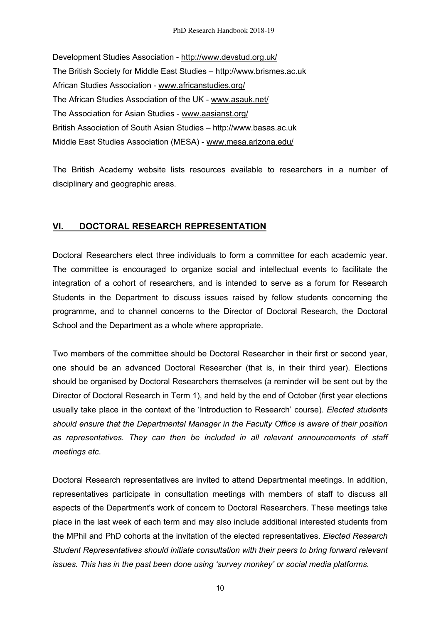Development Studies Association - http://www.devstud.org.uk/ The British Society for Middle East Studies – http://www.brismes.ac.uk African Studies Association - www.africanstudies.org/ The African Studies Association of the UK - www.asauk.net/ The Association for Asian Studies - www.aasianst.org/ British Association of South Asian Studies – http://www.basas.ac.uk Middle East Studies Association (MESA) - www.mesa.arizona.edu/

The British Academy website lists resources available to researchers in a number of disciplinary and geographic areas.

# **VI. DOCTORAL RESEARCH REPRESENTATION**

Doctoral Researchers elect three individuals to form a committee for each academic year. The committee is encouraged to organize social and intellectual events to facilitate the integration of a cohort of researchers, and is intended to serve as a forum for Research Students in the Department to discuss issues raised by fellow students concerning the programme, and to channel concerns to the Director of Doctoral Research, the Doctoral School and the Department as a whole where appropriate.

Two members of the committee should be Doctoral Researcher in their first or second year, one should be an advanced Doctoral Researcher (that is, in their third year). Elections should be organised by Doctoral Researchers themselves (a reminder will be sent out by the Director of Doctoral Research in Term 1), and held by the end of October (first year elections usually take place in the context of the 'Introduction to Research' course). *Elected students should ensure that the Departmental Manager in the Faculty Office is aware of their position as representatives. They can then be included in all relevant announcements of staff meetings etc*.

Doctoral Research representatives are invited to attend Departmental meetings. In addition, representatives participate in consultation meetings with members of staff to discuss all aspects of the Department's work of concern to Doctoral Researchers. These meetings take place in the last week of each term and may also include additional interested students from the MPhil and PhD cohorts at the invitation of the elected representatives. *Elected Research Student Representatives should initiate consultation with their peers to bring forward relevant issues. This has in the past been done using 'survey monkey' or social media platforms.*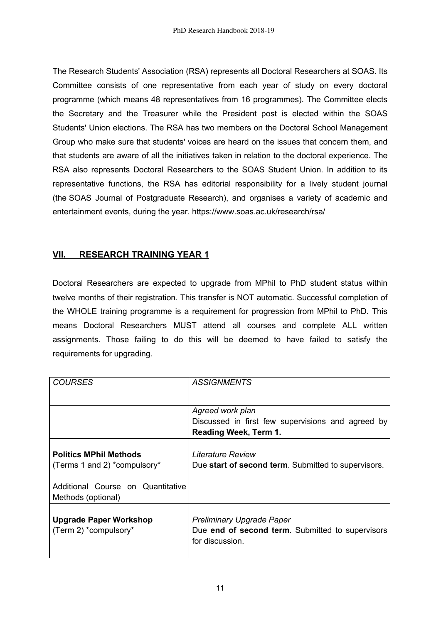The Research Students' Association (RSA) represents all Doctoral Researchers at SOAS. Its Committee consists of one representative from each year of study on every doctoral programme (which means 48 representatives from 16 programmes). The Committee elects the Secretary and the Treasurer while the President post is elected within the SOAS Students' Union elections. The RSA has two members on the Doctoral School Management Group who make sure that students' voices are heard on the issues that concern them, and that students are aware of all the initiatives taken in relation to the doctoral experience. The RSA also represents Doctoral Researchers to the SOAS Student Union. In addition to its representative functions, the RSA has editorial responsibility for a lively student journal (the SOAS Journal of Postgraduate Research), and organises a variety of academic and entertainment events, during the year. https://www.soas.ac.uk/research/rsa/

# **VII. RESEARCH TRAINING YEAR 1**

Doctoral Researchers are expected to upgrade from MPhil to PhD student status within twelve months of their registration. This transfer is NOT automatic. Successful completion of the WHOLE training programme is a requirement for progression from MPhil to PhD. This means Doctoral Researchers MUST attend all courses and complete ALL written assignments. Those failing to do this will be deemed to have failed to satisfy the requirements for upgrading.

| COURSES                           | <i>ASSIGNMENTS</i>                                  |
|-----------------------------------|-----------------------------------------------------|
|                                   |                                                     |
|                                   |                                                     |
|                                   | Agreed work plan                                    |
|                                   | Discussed in first few supervisions and agreed by   |
|                                   | <b>Reading Week, Term 1.</b>                        |
|                                   |                                                     |
| <b>Politics MPhil Methods</b>     | <b>Literature Review</b>                            |
| (Terms 1 and 2) *compulsory*      | Due start of second term. Submitted to supervisors. |
|                                   |                                                     |
| Additional Course on Quantitative |                                                     |
| Methods (optional)                |                                                     |
|                                   |                                                     |
|                                   |                                                     |
| <b>Upgrade Paper Workshop</b>     | <b>Preliminary Upgrade Paper</b>                    |
| (Term 2) *compulsory*             | Due end of second term. Submitted to supervisors    |
|                                   | for discussion.                                     |
|                                   |                                                     |
|                                   |                                                     |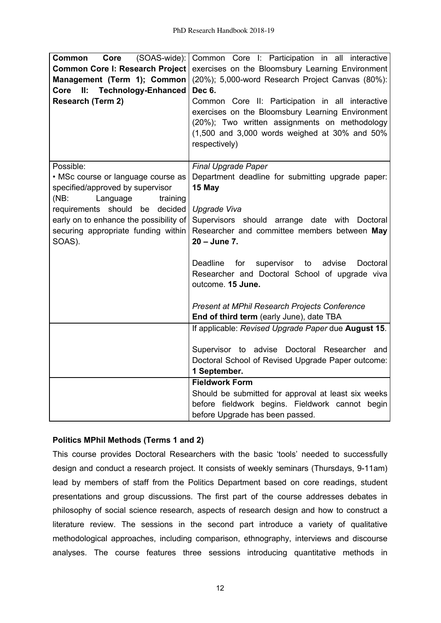| (SOAS-wide):<br>Common<br>Core<br><b>Common Core I: Research Project</b><br>Management (Term 1); Common<br><b>Technology-Enhanced</b><br>Core<br>II:<br><b>Research (Term 2)</b> | Common Core I: Participation in all interactive<br>exercises on the Bloomsbury Learning Environment<br>(20%); 5,000-word Research Project Canvas (80%):<br>Dec 6.<br>Common Core II: Participation in all interactive<br>exercises on the Bloomsbury Learning Environment<br>(20%); Two written assignments on methodology<br>$(1,500$ and 3,000 words weighed at 30% and 50%<br>respectively) |
|----------------------------------------------------------------------------------------------------------------------------------------------------------------------------------|------------------------------------------------------------------------------------------------------------------------------------------------------------------------------------------------------------------------------------------------------------------------------------------------------------------------------------------------------------------------------------------------|
| Possible:                                                                                                                                                                        | <b>Final Upgrade Paper</b>                                                                                                                                                                                                                                                                                                                                                                     |
| • MSc course or language course as                                                                                                                                               | Department deadline for submitting upgrade paper:                                                                                                                                                                                                                                                                                                                                              |
| specified/approved by supervisor                                                                                                                                                 | 15 May                                                                                                                                                                                                                                                                                                                                                                                         |
| (NB)<br>Language<br>training                                                                                                                                                     |                                                                                                                                                                                                                                                                                                                                                                                                |
| requirements should<br>decided<br>be                                                                                                                                             | Upgrade Viva                                                                                                                                                                                                                                                                                                                                                                                   |
| early on to enhance the possibility of                                                                                                                                           | Supervisors should arrange date with Doctoral                                                                                                                                                                                                                                                                                                                                                  |
| securing appropriate funding within<br>SOAS).                                                                                                                                    | Researcher and committee members between May<br>20 - June 7.                                                                                                                                                                                                                                                                                                                                   |
|                                                                                                                                                                                  |                                                                                                                                                                                                                                                                                                                                                                                                |
|                                                                                                                                                                                  | <b>Deadline</b><br>for<br>supervisor to<br>advise<br>Doctoral                                                                                                                                                                                                                                                                                                                                  |
|                                                                                                                                                                                  | Researcher and Doctoral School of upgrade viva                                                                                                                                                                                                                                                                                                                                                 |
|                                                                                                                                                                                  | outcome. 15 June.                                                                                                                                                                                                                                                                                                                                                                              |
|                                                                                                                                                                                  |                                                                                                                                                                                                                                                                                                                                                                                                |
|                                                                                                                                                                                  | Present at MPhil Research Projects Conference                                                                                                                                                                                                                                                                                                                                                  |
|                                                                                                                                                                                  | End of third term (early June), date TBA                                                                                                                                                                                                                                                                                                                                                       |
|                                                                                                                                                                                  | If applicable: Revised Upgrade Paper due August 15.                                                                                                                                                                                                                                                                                                                                            |
|                                                                                                                                                                                  | Supervisor to advise Doctoral Researcher and                                                                                                                                                                                                                                                                                                                                                   |
|                                                                                                                                                                                  | Doctoral School of Revised Upgrade Paper outcome:                                                                                                                                                                                                                                                                                                                                              |
|                                                                                                                                                                                  | 1 September.                                                                                                                                                                                                                                                                                                                                                                                   |
|                                                                                                                                                                                  | <b>Fieldwork Form</b>                                                                                                                                                                                                                                                                                                                                                                          |
|                                                                                                                                                                                  | Should be submitted for approval at least six weeks                                                                                                                                                                                                                                                                                                                                            |
|                                                                                                                                                                                  | before fieldwork begins. Fieldwork cannot begin                                                                                                                                                                                                                                                                                                                                                |
|                                                                                                                                                                                  | before Upgrade has been passed.                                                                                                                                                                                                                                                                                                                                                                |

## **Politics MPhil Methods (Terms 1 and 2)**

This course provides Doctoral Researchers with the basic 'tools' needed to successfully design and conduct a research project. It consists of weekly seminars (Thursdays, 9-11am) lead by members of staff from the Politics Department based on core readings, student presentations and group discussions. The first part of the course addresses debates in philosophy of social science research, aspects of research design and how to construct a literature review. The sessions in the second part introduce a variety of qualitative methodological approaches, including comparison, ethnography, interviews and discourse analyses. The course features three sessions introducing quantitative methods in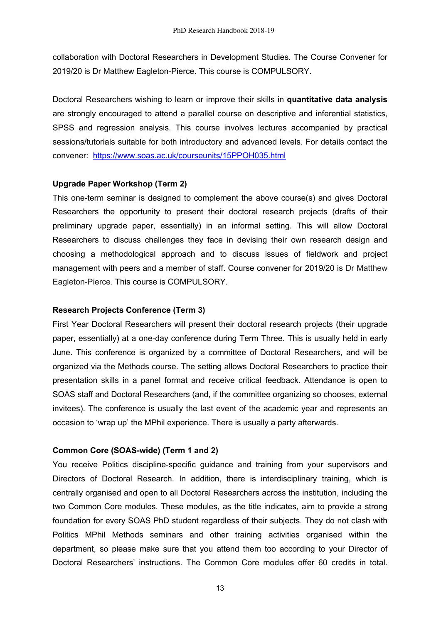collaboration with Doctoral Researchers in Development Studies. The Course Convener for 2019/20 is Dr Matthew Eagleton-Pierce. This course is COMPULSORY.

Doctoral Researchers wishing to learn or improve their skills in **quantitative data analysis** are strongly encouraged to attend a parallel course on descriptive and inferential statistics, SPSS and regression analysis. This course involves lectures accompanied by practical sessions/tutorials suitable for both introductory and advanced levels. For details contact the convener: https://www.soas.ac.uk/courseunits/15PPOH035.html

## **Upgrade Paper Workshop (Term 2)**

This one-term seminar is designed to complement the above course(s) and gives Doctoral Researchers the opportunity to present their doctoral research projects (drafts of their preliminary upgrade paper, essentially) in an informal setting. This will allow Doctoral Researchers to discuss challenges they face in devising their own research design and choosing a methodological approach and to discuss issues of fieldwork and project management with peers and a member of staff. Course convener for 2019/20 is Dr Matthew Eagleton-Pierce. This course is COMPULSORY.

## **Research Projects Conference (Term 3)**

First Year Doctoral Researchers will present their doctoral research projects (their upgrade paper, essentially) at a one-day conference during Term Three. This is usually held in early June. This conference is organized by a committee of Doctoral Researchers, and will be organized via the Methods course. The setting allows Doctoral Researchers to practice their presentation skills in a panel format and receive critical feedback. Attendance is open to SOAS staff and Doctoral Researchers (and, if the committee organizing so chooses, external invitees). The conference is usually the last event of the academic year and represents an occasion to 'wrap up' the MPhil experience. There is usually a party afterwards.

## **Common Core (SOAS-wide) (Term 1 and 2)**

You receive Politics discipline-specific guidance and training from your supervisors and Directors of Doctoral Research. In addition, there is interdisciplinary training, which is centrally organised and open to all Doctoral Researchers across the institution, including the two Common Core modules. These modules, as the title indicates, aim to provide a strong foundation for every SOAS PhD student regardless of their subjects. They do not clash with Politics MPhil Methods seminars and other training activities organised within the department, so please make sure that you attend them too according to your Director of Doctoral Researchers' instructions. The Common Core modules offer 60 credits in total.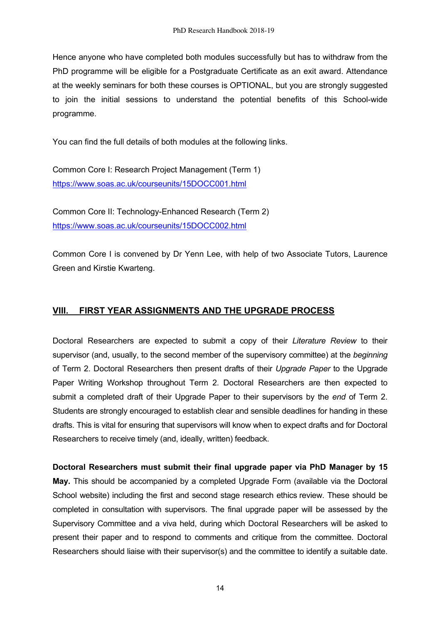Hence anyone who have completed both modules successfully but has to withdraw from the PhD programme will be eligible for a Postgraduate Certificate as an exit award. Attendance at the weekly seminars for both these courses is OPTIONAL, but you are strongly suggested to join the initial sessions to understand the potential benefits of this School-wide programme.

You can find the full details of both modules at the following links.

Common Core I: Research Project Management (Term 1) https://www.soas.ac.uk/courseunits/15DOCC001.html

Common Core II: Technology-Enhanced Research (Term 2) https://www.soas.ac.uk/courseunits/15DOCC002.html

Common Core I is convened by Dr Yenn Lee, with help of two Associate Tutors, Laurence Green and Kirstie Kwarteng.

# **VIII. FIRST YEAR ASSIGNMENTS AND THE UPGRADE PROCESS**

Doctoral Researchers are expected to submit a copy of their *Literature Review* to their supervisor (and, usually, to the second member of the supervisory committee) at the *beginning* of Term 2. Doctoral Researchers then present drafts of their *Upgrade Paper* to the Upgrade Paper Writing Workshop throughout Term 2. Doctoral Researchers are then expected to submit a completed draft of their Upgrade Paper to their supervisors by the *end* of Term 2. Students are strongly encouraged to establish clear and sensible deadlines for handing in these drafts. This is vital for ensuring that supervisors will know when to expect drafts and for Doctoral Researchers to receive timely (and, ideally, written) feedback.

**Doctoral Researchers must submit their final upgrade paper via PhD Manager by 15 May.** This should be accompanied by a completed Upgrade Form (available via the Doctoral School website) including the first and second stage research ethics review. These should be completed in consultation with supervisors. The final upgrade paper will be assessed by the Supervisory Committee and a viva held, during which Doctoral Researchers will be asked to present their paper and to respond to comments and critique from the committee. Doctoral Researchers should liaise with their supervisor(s) and the committee to identify a suitable date.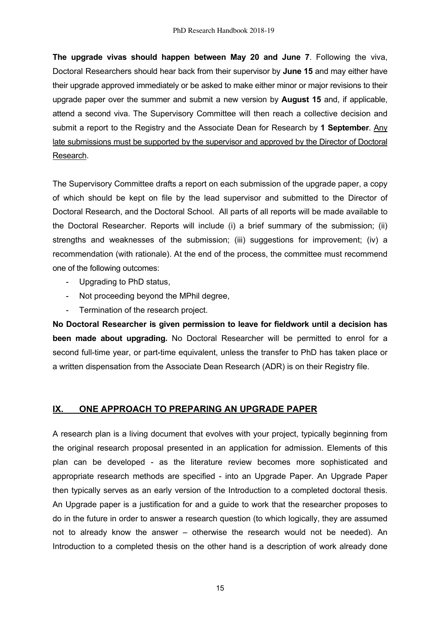**The upgrade vivas should happen between May 20 and June 7**. Following the viva, Doctoral Researchers should hear back from their supervisor by **June 15** and may either have their upgrade approved immediately or be asked to make either minor or major revisions to their upgrade paper over the summer and submit a new version by **August 15** and, if applicable, attend a second viva. The Supervisory Committee will then reach a collective decision and submit a report to the Registry and the Associate Dean for Research by **1 September**. Any late submissions must be supported by the supervisor and approved by the Director of Doctoral Research.

The Supervisory Committee drafts a report on each submission of the upgrade paper, a copy of which should be kept on file by the lead supervisor and submitted to the Director of Doctoral Research, and the Doctoral School. All parts of all reports will be made available to the Doctoral Researcher. Reports will include (i) a brief summary of the submission; (ii) strengths and weaknesses of the submission; (iii) suggestions for improvement; (iv) a recommendation (with rationale). At the end of the process, the committee must recommend one of the following outcomes:

- Upgrading to PhD status,
- Not proceeding beyond the MPhil degree,
- Termination of the research project.

**No Doctoral Researcher is given permission to leave for fieldwork until a decision has been made about upgrading.** No Doctoral Researcher will be permitted to enrol for a second full-time year, or part-time equivalent, unless the transfer to PhD has taken place or a written dispensation from the Associate Dean Research (ADR) is on their Registry file.

## **IX. ONE APPROACH TO PREPARING AN UPGRADE PAPER**

A research plan is a living document that evolves with your project, typically beginning from the original research proposal presented in an application for admission. Elements of this plan can be developed - as the literature review becomes more sophisticated and appropriate research methods are specified - into an Upgrade Paper. An Upgrade Paper then typically serves as an early version of the Introduction to a completed doctoral thesis. An Upgrade paper is a justification for and a guide to work that the researcher proposes to do in the future in order to answer a research question (to which logically, they are assumed not to already know the answer – otherwise the research would not be needed). An Introduction to a completed thesis on the other hand is a description of work already done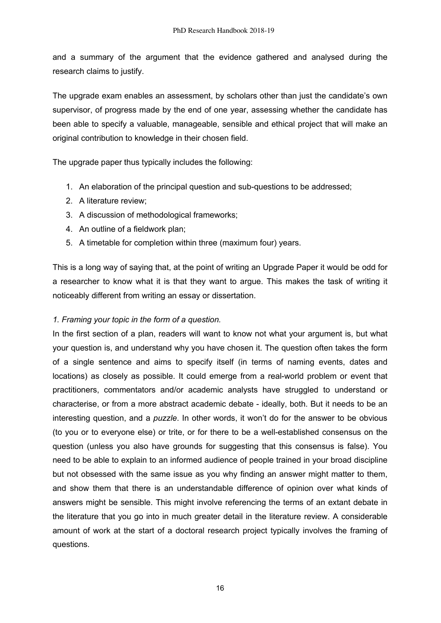and a summary of the argument that the evidence gathered and analysed during the research claims to justify.

The upgrade exam enables an assessment, by scholars other than just the candidate's own supervisor, of progress made by the end of one year, assessing whether the candidate has been able to specify a valuable, manageable, sensible and ethical project that will make an original contribution to knowledge in their chosen field.

The upgrade paper thus typically includes the following:

- 1. An elaboration of the principal question and sub-questions to be addressed;
- 2. A literature review;
- 3. A discussion of methodological frameworks;
- 4. An outline of a fieldwork plan;
- 5. A timetable for completion within three (maximum four) years.

This is a long way of saying that, at the point of writing an Upgrade Paper it would be odd for a researcher to know what it is that they want to argue. This makes the task of writing it noticeably different from writing an essay or dissertation.

## *1. Framing your topic in the form of a question.*

In the first section of a plan, readers will want to know not what your argument is, but what your question is, and understand why you have chosen it. The question often takes the form of a single sentence and aims to specify itself (in terms of naming events, dates and locations) as closely as possible. It could emerge from a real-world problem or event that practitioners, commentators and/or academic analysts have struggled to understand or characterise, or from a more abstract academic debate - ideally, both. But it needs to be an interesting question, and a *puzzle*. In other words, it won't do for the answer to be obvious (to you or to everyone else) or trite, or for there to be a well-established consensus on the question (unless you also have grounds for suggesting that this consensus is false). You need to be able to explain to an informed audience of people trained in your broad discipline but not obsessed with the same issue as you why finding an answer might matter to them, and show them that there is an understandable difference of opinion over what kinds of answers might be sensible. This might involve referencing the terms of an extant debate in the literature that you go into in much greater detail in the literature review. A considerable amount of work at the start of a doctoral research project typically involves the framing of questions.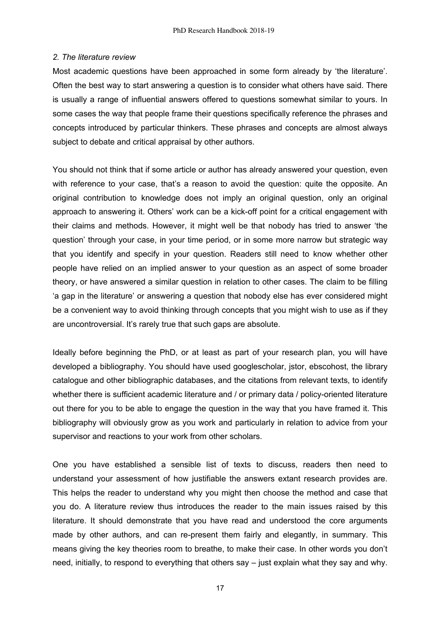#### *2. The literature review*

Most academic questions have been approached in some form already by 'the literature'. Often the best way to start answering a question is to consider what others have said. There is usually a range of influential answers offered to questions somewhat similar to yours. In some cases the way that people frame their questions specifically reference the phrases and concepts introduced by particular thinkers. These phrases and concepts are almost always subject to debate and critical appraisal by other authors.

You should not think that if some article or author has already answered your question, even with reference to your case, that's a reason to avoid the question: quite the opposite. An original contribution to knowledge does not imply an original question, only an original approach to answering it. Others' work can be a kick-off point for a critical engagement with their claims and methods. However, it might well be that nobody has tried to answer 'the question' through your case, in your time period, or in some more narrow but strategic way that you identify and specify in your question. Readers still need to know whether other people have relied on an implied answer to your question as an aspect of some broader theory, or have answered a similar question in relation to other cases. The claim to be filling 'a gap in the literature' or answering a question that nobody else has ever considered might be a convenient way to avoid thinking through concepts that you might wish to use as if they are uncontroversial. It's rarely true that such gaps are absolute.

Ideally before beginning the PhD, or at least as part of your research plan, you will have developed a bibliography. You should have used googlescholar, jstor, ebscohost, the library catalogue and other bibliographic databases, and the citations from relevant texts, to identify whether there is sufficient academic literature and / or primary data / policy-oriented literature out there for you to be able to engage the question in the way that you have framed it. This bibliography will obviously grow as you work and particularly in relation to advice from your supervisor and reactions to your work from other scholars.

One you have established a sensible list of texts to discuss, readers then need to understand your assessment of how justifiable the answers extant research provides are. This helps the reader to understand why you might then choose the method and case that you do. A literature review thus introduces the reader to the main issues raised by this literature. It should demonstrate that you have read and understood the core arguments made by other authors, and can re-present them fairly and elegantly, in summary. This means giving the key theories room to breathe, to make their case. In other words you don't need, initially, to respond to everything that others say – just explain what they say and why.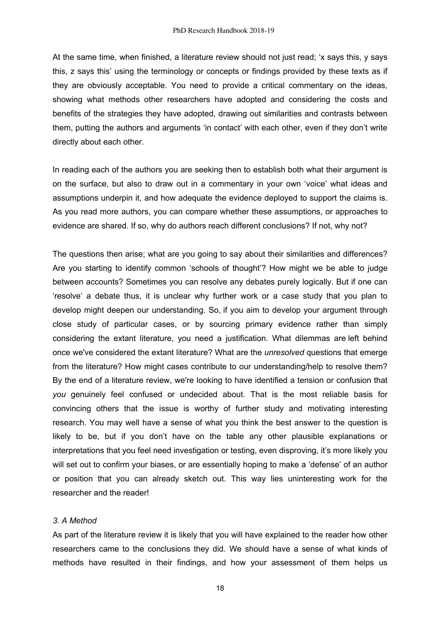At the same time, when finished, a literature review should not just read; 'x says this, y says this, z says this' using the terminology or concepts or findings provided by these texts as if they are obviously acceptable. You need to provide a critical commentary on the ideas, showing what methods other researchers have adopted and considering the costs and benefits of the strategies they have adopted, drawing out similarities and contrasts between them, putting the authors and arguments 'in contact' with each other, even if they don't write directly about each other.

In reading each of the authors you are seeking then to establish both what their argument is on the surface, but also to draw out in a commentary in your own 'voice' what ideas and assumptions underpin it, and how adequate the evidence deployed to support the claims is. As you read more authors, you can compare whether these assumptions, or approaches to evidence are shared. If so, why do authors reach different conclusions? If not, why not?

The questions then arise; what are you going to say about their similarities and differences? Are you starting to identify common 'schools of thought'? How might we be able to judge between accounts? Sometimes you can resolve any debates purely logically. But if one can 'resolve' a debate thus, it is unclear why further work or a case study that you plan to develop might deepen our understanding. So, if you aim to develop your argument through close study of particular cases, or by sourcing primary evidence rather than simply considering the extant literature, you need a justification. What dilemmas are left behind once we've considered the extant literature? What are the *unresolved* questions that emerge from the literature? How might cases contribute to our understanding/help to resolve them? By the end of a literature review, we're looking to have identified a tension or confusion that *you* genuinely feel confused or undecided about. That is the most reliable basis for convincing others that the issue is worthy of further study and motivating interesting research. You may well have a sense of what you think the best answer to the question is likely to be, but if you don't have on the table any other plausible explanations or interpretations that you feel need investigation or testing, even disproving, it's more likely you will set out to confirm your biases, or are essentially hoping to make a 'defense' of an author or position that you can already sketch out. This way lies uninteresting work for the researcher and the reader!

#### *3. A Method*

As part of the literature review it is likely that you will have explained to the reader how other researchers came to the conclusions they did. We should have a sense of what kinds of methods have resulted in their findings, and how your assessment of them helps us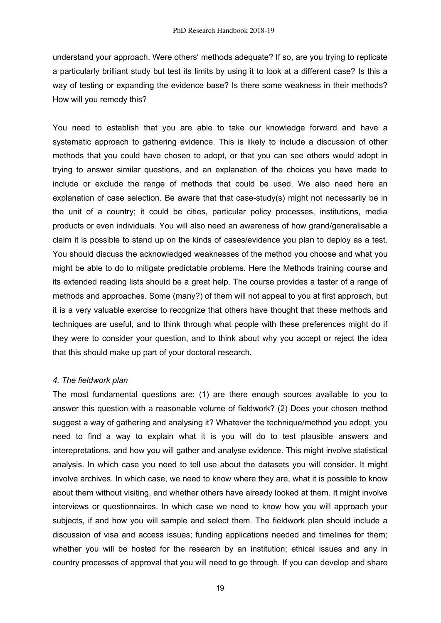understand your approach. Were others' methods adequate? If so, are you trying to replicate a particularly brilliant study but test its limits by using it to look at a different case? Is this a way of testing or expanding the evidence base? Is there some weakness in their methods? How will you remedy this?

You need to establish that you are able to take our knowledge forward and have a systematic approach to gathering evidence. This is likely to include a discussion of other methods that you could have chosen to adopt, or that you can see others would adopt in trying to answer similar questions, and an explanation of the choices you have made to include or exclude the range of methods that could be used. We also need here an explanation of case selection. Be aware that that case-study(s) might not necessarily be in the unit of a country; it could be cities, particular policy processes, institutions, media products or even individuals. You will also need an awareness of how grand/generalisable a claim it is possible to stand up on the kinds of cases/evidence you plan to deploy as a test. You should discuss the acknowledged weaknesses of the method you choose and what you might be able to do to mitigate predictable problems. Here the Methods training course and its extended reading lists should be a great help. The course provides a taster of a range of methods and approaches. Some (many?) of them will not appeal to you at first approach, but it is a very valuable exercise to recognize that others have thought that these methods and techniques are useful, and to think through what people with these preferences might do if they were to consider your question, and to think about why you accept or reject the idea that this should make up part of your doctoral research.

#### *4. The fieldwork plan*

The most fundamental questions are: (1) are there enough sources available to you to answer this question with a reasonable volume of fieldwork? (2) Does your chosen method suggest a way of gathering and analysing it? Whatever the technique/method you adopt, you need to find a way to explain what it is you will do to test plausible answers and interepretations, and how you will gather and analyse evidence. This might involve statistical analysis. In which case you need to tell use about the datasets you will consider. It might involve archives. In which case, we need to know where they are, what it is possible to know about them without visiting, and whether others have already looked at them. It might involve interviews or questionnaires. In which case we need to know how you will approach your subjects, if and how you will sample and select them. The fieldwork plan should include a discussion of visa and access issues; funding applications needed and timelines for them; whether you will be hosted for the research by an institution; ethical issues and any in country processes of approval that you will need to go through. If you can develop and share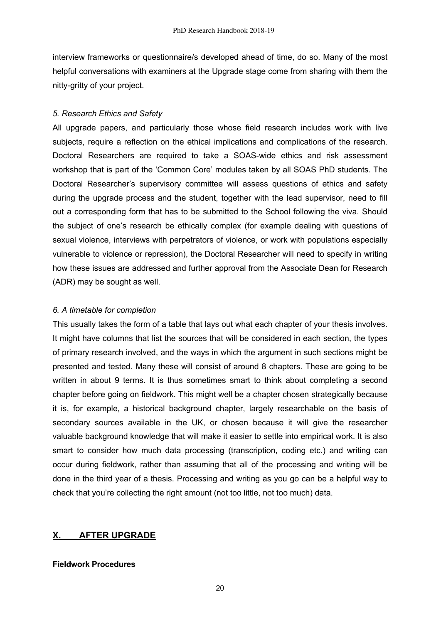interview frameworks or questionnaire/s developed ahead of time, do so. Many of the most helpful conversations with examiners at the Upgrade stage come from sharing with them the nitty-gritty of your project.

## *5. Research Ethics and Safety*

All upgrade papers, and particularly those whose field research includes work with live subjects, require a reflection on the ethical implications and complications of the research. Doctoral Researchers are required to take a SOAS-wide ethics and risk assessment workshop that is part of the 'Common Core' modules taken by all SOAS PhD students. The Doctoral Researcher's supervisory committee will assess questions of ethics and safety during the upgrade process and the student, together with the lead supervisor, need to fill out a corresponding form that has to be submitted to the School following the viva. Should the subject of one's research be ethically complex (for example dealing with questions of sexual violence, interviews with perpetrators of violence, or work with populations especially vulnerable to violence or repression), the Doctoral Researcher will need to specify in writing how these issues are addressed and further approval from the Associate Dean for Research (ADR) may be sought as well.

## *6. A timetable for completion*

This usually takes the form of a table that lays out what each chapter of your thesis involves. It might have columns that list the sources that will be considered in each section, the types of primary research involved, and the ways in which the argument in such sections might be presented and tested. Many these will consist of around 8 chapters. These are going to be written in about 9 terms. It is thus sometimes smart to think about completing a second chapter before going on fieldwork. This might well be a chapter chosen strategically because it is, for example, a historical background chapter, largely researchable on the basis of secondary sources available in the UK, or chosen because it will give the researcher valuable background knowledge that will make it easier to settle into empirical work. It is also smart to consider how much data processing (transcription, coding etc.) and writing can occur during fieldwork, rather than assuming that all of the processing and writing will be done in the third year of a thesis. Processing and writing as you go can be a helpful way to check that you're collecting the right amount (not too little, not too much) data.

# **X. AFTER UPGRADE**

## **Fieldwork Procedures**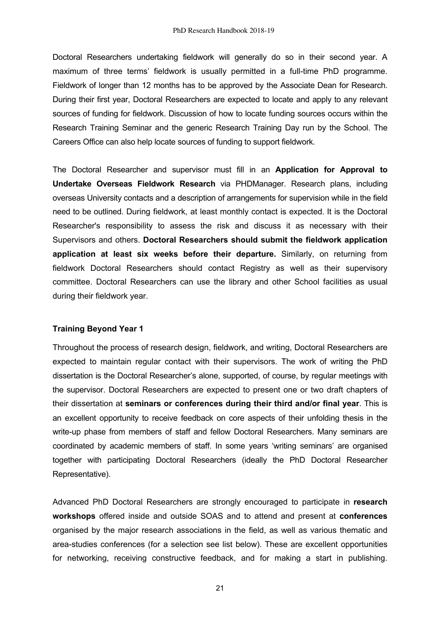Doctoral Researchers undertaking fieldwork will generally do so in their second year. A maximum of three terms' fieldwork is usually permitted in a full-time PhD programme. Fieldwork of longer than 12 months has to be approved by the Associate Dean for Research. During their first year, Doctoral Researchers are expected to locate and apply to any relevant sources of funding for fieldwork. Discussion of how to locate funding sources occurs within the Research Training Seminar and the generic Research Training Day run by the School. The Careers Office can also help locate sources of funding to support fieldwork.

The Doctoral Researcher and supervisor must fill in an **Application for Approval to Undertake Overseas Fieldwork Research** via PHDManager. Research plans, including overseas University contacts and a description of arrangements for supervision while in the field need to be outlined. During fieldwork, at least monthly contact is expected. It is the Doctoral Researcher's responsibility to assess the risk and discuss it as necessary with their Supervisors and others. **Doctoral Researchers should submit the fieldwork application application at least six weeks before their departure.** Similarly, on returning from fieldwork Doctoral Researchers should contact Registry as well as their supervisory committee. Doctoral Researchers can use the library and other School facilities as usual during their fieldwork year.

## **Training Beyond Year 1**

Throughout the process of research design, fieldwork, and writing, Doctoral Researchers are expected to maintain regular contact with their supervisors. The work of writing the PhD dissertation is the Doctoral Researcher's alone, supported, of course, by regular meetings with the supervisor. Doctoral Researchers are expected to present one or two draft chapters of their dissertation at **seminars or conferences during their third and/or final year**. This is an excellent opportunity to receive feedback on core aspects of their unfolding thesis in the write-up phase from members of staff and fellow Doctoral Researchers. Many seminars are coordinated by academic members of staff. In some years 'writing seminars' are organised together with participating Doctoral Researchers (ideally the PhD Doctoral Researcher Representative).

Advanced PhD Doctoral Researchers are strongly encouraged to participate in **research workshops** offered inside and outside SOAS and to attend and present at **conferences** organised by the major research associations in the field, as well as various thematic and area-studies conferences (for a selection see list below). These are excellent opportunities for networking, receiving constructive feedback, and for making a start in publishing.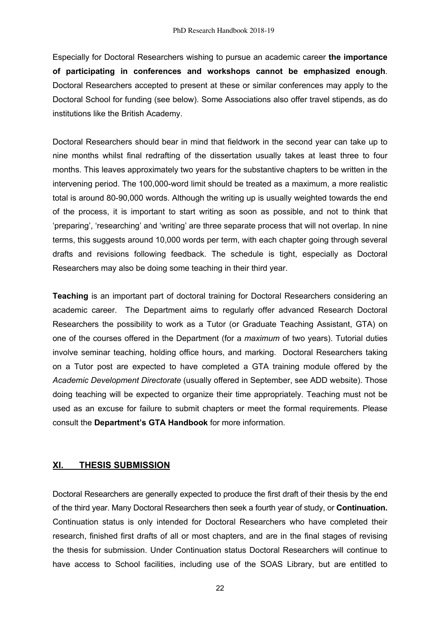Especially for Doctoral Researchers wishing to pursue an academic career **the importance of participating in conferences and workshops cannot be emphasized enough**. Doctoral Researchers accepted to present at these or similar conferences may apply to the Doctoral School for funding (see below). Some Associations also offer travel stipends, as do institutions like the British Academy.

Doctoral Researchers should bear in mind that fieldwork in the second year can take up to nine months whilst final redrafting of the dissertation usually takes at least three to four months. This leaves approximately two years for the substantive chapters to be written in the intervening period. The 100,000-word limit should be treated as a maximum, a more realistic total is around 80-90,000 words. Although the writing up is usually weighted towards the end of the process, it is important to start writing as soon as possible, and not to think that 'preparing', 'researching' and 'writing' are three separate process that will not overlap. In nine terms, this suggests around 10,000 words per term, with each chapter going through several drafts and revisions following feedback. The schedule is tight, especially as Doctoral Researchers may also be doing some teaching in their third year.

**Teaching** is an important part of doctoral training for Doctoral Researchers considering an academic career. The Department aims to regularly offer advanced Research Doctoral Researchers the possibility to work as a Tutor (or Graduate Teaching Assistant, GTA) on one of the courses offered in the Department (for a *maximum* of two years). Tutorial duties involve seminar teaching, holding office hours, and marking. Doctoral Researchers taking on a Tutor post are expected to have completed a GTA training module offered by the *Academic Development Directorate* (usually offered in September, see ADD website). Those doing teaching will be expected to organize their time appropriately. Teaching must not be used as an excuse for failure to submit chapters or meet the formal requirements. Please consult the **Department's GTA Handbook** for more information.

## **XI. THESIS SUBMISSION**

Doctoral Researchers are generally expected to produce the first draft of their thesis by the end of the third year. Many Doctoral Researchers then seek a fourth year of study, or **Continuation.** Continuation status is only intended for Doctoral Researchers who have completed their research, finished first drafts of all or most chapters, and are in the final stages of revising the thesis for submission. Under Continuation status Doctoral Researchers will continue to have access to School facilities, including use of the SOAS Library, but are entitled to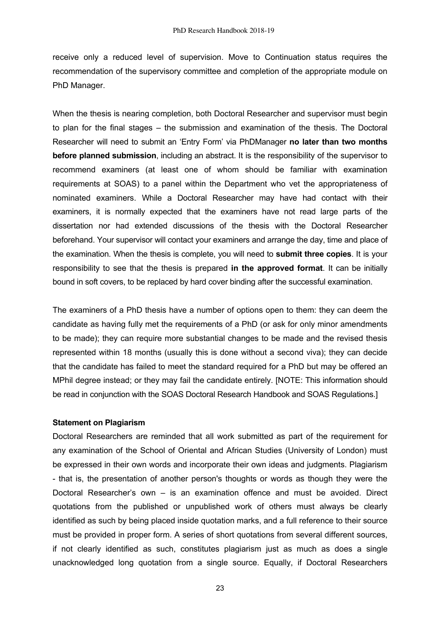receive only a reduced level of supervision. Move to Continuation status requires the recommendation of the supervisory committee and completion of the appropriate module on PhD Manager.

When the thesis is nearing completion, both Doctoral Researcher and supervisor must begin to plan for the final stages – the submission and examination of the thesis. The Doctoral Researcher will need to submit an 'Entry Form' via PhDManager **no later than two months before planned submission**, including an abstract. It is the responsibility of the supervisor to recommend examiners (at least one of whom should be familiar with examination requirements at SOAS) to a panel within the Department who vet the appropriateness of nominated examiners. While a Doctoral Researcher may have had contact with their examiners, it is normally expected that the examiners have not read large parts of the dissertation nor had extended discussions of the thesis with the Doctoral Researcher beforehand. Your supervisor will contact your examiners and arrange the day, time and place of the examination. When the thesis is complete, you will need to **submit three copies**. It is your responsibility to see that the thesis is prepared **in the approved format**. It can be initially bound in soft covers, to be replaced by hard cover binding after the successful examination.

The examiners of a PhD thesis have a number of options open to them: they can deem the candidate as having fully met the requirements of a PhD (or ask for only minor amendments to be made); they can require more substantial changes to be made and the revised thesis represented within 18 months (usually this is done without a second viva); they can decide that the candidate has failed to meet the standard required for a PhD but may be offered an MPhil degree instead; or they may fail the candidate entirely. [NOTE: This information should be read in conjunction with the SOAS Doctoral Research Handbook and SOAS Regulations.]

#### **Statement on Plagiarism**

Doctoral Researchers are reminded that all work submitted as part of the requirement for any examination of the School of Oriental and African Studies (University of London) must be expressed in their own words and incorporate their own ideas and judgments. Plagiarism - that is, the presentation of another person's thoughts or words as though they were the Doctoral Researcher's own – is an examination offence and must be avoided. Direct quotations from the published or unpublished work of others must always be clearly identified as such by being placed inside quotation marks, and a full reference to their source must be provided in proper form. A series of short quotations from several different sources, if not clearly identified as such, constitutes plagiarism just as much as does a single unacknowledged long quotation from a single source. Equally, if Doctoral Researchers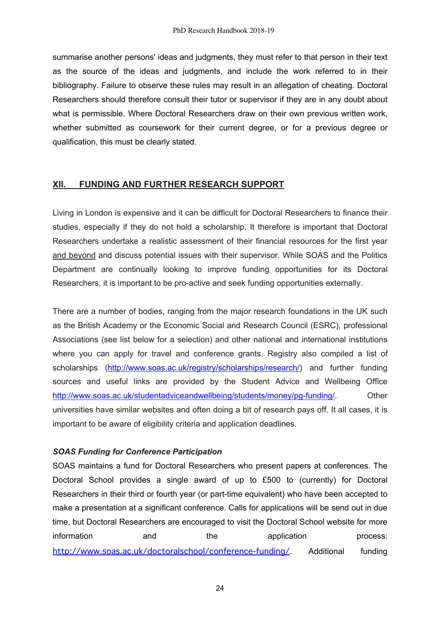summarise another persons' ideas and judgments, they must refer to that person in their text as the source of the ideas and judgments, and include the work referred to in their bibliography. Failure to observe these rules may result in an allegation of cheating. Doctoral Researchers should therefore consult their tutor or supervisor if they are in any doubt about what is permissible. Where Doctoral Researchers draw on their own previous written work, whether submitted as coursework for their current degree, or for a previous degree or qualification, this must be clearly stated.

## **XII. FUNDING AND FURTHER RESEARCH SUPPORT**

Living in London is expensive and it can be difficult for Doctoral Researchers to finance their studies, especially if they do not hold a scholarship. It therefore is important that Doctoral Researchers undertake a realistic assessment of their financial resources for the first year and beyond and discuss potential issues with their supervisor. While SOAS and the Politics Department are continually looking to improve funding opportunities for its Doctoral Researchers, it is important to be pro-active and seek funding opportunities externally.

There are a number of bodies, ranging from the major research foundations in the UK such as the British Academy or the Economic Social and Research Council (ESRC), professional Associations (see list below for a selection) and other national and international institutions where you can apply for travel and conference grants. Registry also compiled a list of scholarships (http://www.soas.ac.uk/registry/scholarships/research/) and further funding sources and useful links are provided by the Student Advice and Wellbeing Office http://www.soas.ac.uk/studentadviceandwellbeing/students/money/pg-funding/. Other universities have similar websites and often doing a bit of research pays off. It all cases, it is important to be aware of eligibility criteria and application deadlines.

## *SOAS Funding for Conference Participation*

SOAS maintains a fund for Doctoral Researchers who present papers at conferences. The Doctoral School provides a single award of up to £500 to (currently) for Doctoral Researchers in their third or fourth year (or part-time equivalent) who have been accepted to make a presentation at a significant conference. Calls for applications will be send out in due time, but Doctoral Researchers are encouraged to visit the Doctoral School website for more information and the application process: http://www.soas.ac.uk/doctoralschool/conference-funding/ Additional funding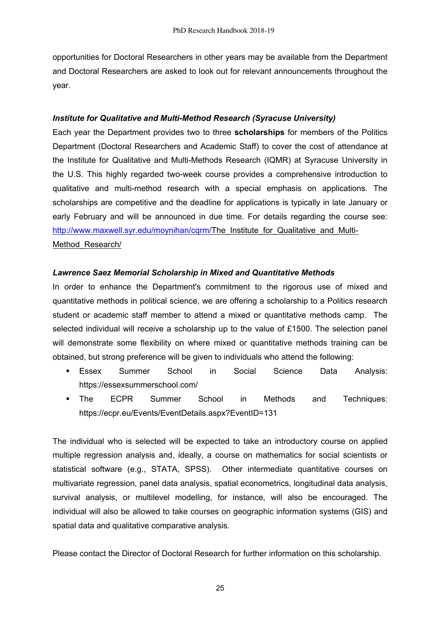opportunities for Doctoral Researchers in other years may be available from the Department and Doctoral Researchers are asked to look out for relevant announcements throughout the year.

## *Institute for Qualitative and Multi-Method Research (Syracuse University)*

Each year the Department provides two to three **scholarships** for members of the Politics Department (Doctoral Researchers and Academic Staff) to cover the cost of attendance at the Institute for Qualitative and Multi-Methods Research (IQMR) at Syracuse University in the U.S. This highly regarded two-week course provides a comprehensive introduction to qualitative and multi-method research with a special emphasis on applications. The scholarships are competitive and the deadline for applications is typically in late January or early February and will be announced in due time. For details regarding the course see: http://www.maxwell.syr.edu/moynihan/cqrm/The\_Institute\_for\_Qualitative\_and\_Multi-Method\_Research/

## *Lawrence Saez Memorial Scholarship in Mixed and Quantitative Methods*

In order to enhance the Department's commitment to the rigorous use of mixed and quantitative methods in political science, we are offering a scholarship to a Politics research student or academic staff member to attend a mixed or quantitative methods camp. The selected individual will receive a scholarship up to the value of £1500. The selection panel will demonstrate some flexibility on where mixed or quantitative methods training can be obtained, but strong preference will be given to individuals who attend the following:

- Essex Summer School in Social Science Data Analysis: https://essexsummerschool.com/
- § The ECPR Summer School in Methods and Techniques: https://ecpr.eu/Events/EventDetails.aspx?EventID=131

The individual who is selected will be expected to take an introductory course on applied multiple regression analysis and, ideally, a course on mathematics for social scientists or statistical software (e.g., STATA, SPSS). Other intermediate quantitative courses on multivariate regression, panel data analysis, spatial econometrics, longitudinal data analysis, survival analysis, or multilevel modelling, for instance, will also be encouraged. The individual will also be allowed to take courses on geographic information systems (GIS) and spatial data and qualitative comparative analysis.

Please contact the Director of Doctoral Research for further information on this scholarship.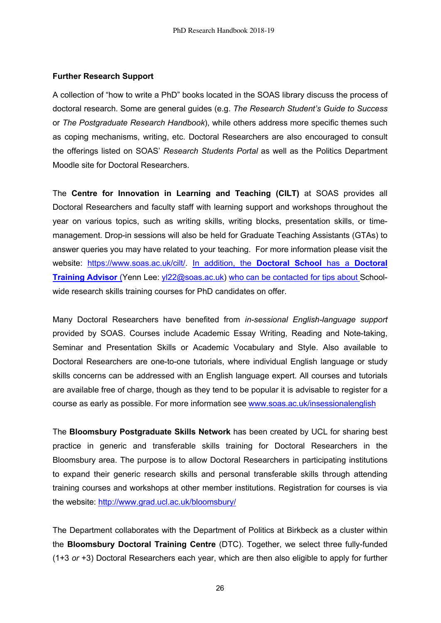#### **Further Research Support**

A collection of "how to write a PhD" books located in the SOAS library discuss the process of doctoral research. Some are general guides (e.g. *The Research Student's Guide to Success* or *The Postgraduate Research Handbook*), while others address more specific themes such as coping mechanisms, writing, etc. Doctoral Researchers are also encouraged to consult the offerings listed on SOAS' *Research Students Portal* as well as the Politics Department Moodle site for Doctoral Researchers.

The **Centre for Innovation in Learning and Teaching (CILT)** at SOAS provides all Doctoral Researchers and faculty staff with learning support and workshops throughout the year on various topics, such as writing skills, writing blocks, presentation skills, or timemanagement. Drop-in sessions will also be held for Graduate Teaching Assistants (GTAs) to answer queries you may have related to your teaching. For more information please visit the website: https://www.soas.ac.uk/cilt/. In addition, the **Doctoral School** has a **Doctoral Training Advisor** (Yenn Lee: yl22@soas.ac.uk) who can be contacted for tips about Schoolwide research skills training courses for PhD candidates on offer.

Many Doctoral Researchers have benefited from *in-sessional English-language support* provided by SOAS. Courses include Academic Essay Writing, Reading and Note-taking, Seminar and Presentation Skills or Academic Vocabulary and Style. Also available to Doctoral Researchers are one-to-one tutorials, where individual English language or study skills concerns can be addressed with an English language expert. All courses and tutorials are available free of charge, though as they tend to be popular it is advisable to register for a course as early as possible. For more information see www.soas.ac.uk/insessionalenglish

The **Bloomsbury Postgraduate Skills Network** has been created by UCL for sharing best practice in generic and transferable skills training for Doctoral Researchers in the Bloomsbury area. The purpose is to allow Doctoral Researchers in participating institutions to expand their generic research skills and personal transferable skills through attending training courses and workshops at other member institutions. Registration for courses is via the website: http://www.grad.ucl.ac.uk/bloomsbury/

The Department collaborates with the Department of Politics at Birkbeck as a cluster within the **Bloomsbury Doctoral Training Centre** (DTC). Together, we select three fully-funded (1+3 *or* +3) Doctoral Researchers each year, which are then also eligible to apply for further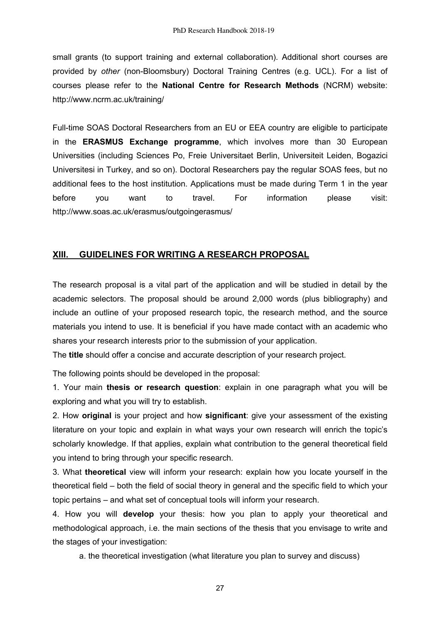small grants (to support training and external collaboration). Additional short courses are provided by *other* (non-Bloomsbury) Doctoral Training Centres (e.g. UCL). For a list of courses please refer to the **National Centre for Research Methods** (NCRM) website: http://www.ncrm.ac.uk/training/

Full-time SOAS Doctoral Researchers from an EU or EEA country are eligible to participate in the **ERASMUS Exchange programme**, which involves more than 30 European Universities (including Sciences Po, Freie Universitaet Berlin, Universiteit Leiden, Bogazici Universitesi in Turkey, and so on). Doctoral Researchers pay the regular SOAS fees, but no additional fees to the host institution. Applications must be made during Term 1 in the year before you want to travel. For information please visit: http://www.soas.ac.uk/erasmus/outgoingerasmus/

# **XIII. GUIDELINES FOR WRITING A RESEARCH PROPOSAL**

The research proposal is a vital part of the application and will be studied in detail by the academic selectors. The proposal should be around 2,000 words (plus bibliography) and include an outline of your proposed research topic, the research method, and the source materials you intend to use. It is beneficial if you have made contact with an academic who shares your research interests prior to the submission of your application.

The **title** should offer a concise and accurate description of your research project.

The following points should be developed in the proposal:

1. Your main **thesis or research question**: explain in one paragraph what you will be exploring and what you will try to establish.

2. How **original** is your project and how **significant**: give your assessment of the existing literature on your topic and explain in what ways your own research will enrich the topic's scholarly knowledge. If that applies, explain what contribution to the general theoretical field you intend to bring through your specific research.

3. What **theoretical** view will inform your research: explain how you locate yourself in the theoretical field – both the field of social theory in general and the specific field to which your topic pertains – and what set of conceptual tools will inform your research.

4. How you will **develop** your thesis: how you plan to apply your theoretical and methodological approach, i.e. the main sections of the thesis that you envisage to write and the stages of your investigation:

a. the theoretical investigation (what literature you plan to survey and discuss)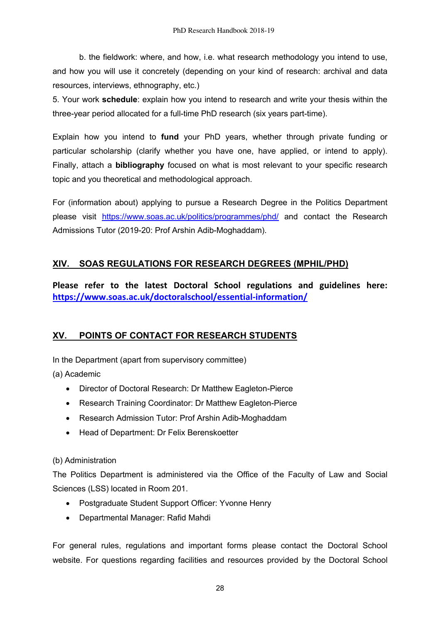b. the fieldwork: where, and how, i.e. what research methodology you intend to use, and how you will use it concretely (depending on your kind of research: archival and data resources, interviews, ethnography, etc.)

5. Your work **schedule**: explain how you intend to research and write your thesis within the three-year period allocated for a full-time PhD research (six years part-time).

Explain how you intend to **fund** your PhD years, whether through private funding or particular scholarship (clarify whether you have one, have applied, or intend to apply). Finally, attach a **bibliography** focused on what is most relevant to your specific research topic and you theoretical and methodological approach.

For (information about) applying to pursue a Research Degree in the Politics Department please visit https://www.soas.ac.uk/politics/programmes/phd/ and contact the Research Admissions Tutor (2019-20: Prof Arshin Adib-Moghaddam).

# **XIV. SOAS REGULATIONS FOR RESEARCH DEGREES (MPHIL/PHD)**

**Please refer to the latest Doctoral School regulations and guidelines here: https://www.soas.ac.uk/doctoralschool/essential-information/**

# **XV. POINTS OF CONTACT FOR RESEARCH STUDENTS**

In the Department (apart from supervisory committee)

(a) Academic

- Director of Doctoral Research: Dr Matthew Eagleton-Pierce
- Research Training Coordinator: Dr Matthew Eagleton-Pierce
- Research Admission Tutor: Prof Arshin Adib-Moghaddam
- Head of Department: Dr Felix Berenskoetter

## (b) Administration

The Politics Department is administered via the Office of the Faculty of Law and Social Sciences (LSS) located in Room 201.

- Postgraduate Student Support Officer: Yvonne Henry
- Departmental Manager: Rafid Mahdi

For general rules, regulations and important forms please contact the Doctoral School website. For questions regarding facilities and resources provided by the Doctoral School